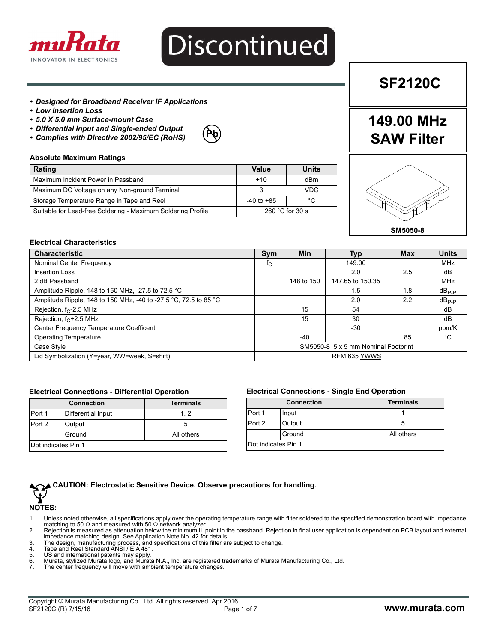

# Discontinued

#### *• Designed for Broadband Receiver IF Applications*

- *Low Insertion Loss*
- *5.0 X 5.0 mm Surface-mount Case*
- *Differential Input and Single-ended Output*
- *Complies with Directive 2002/95/EC (RoHS)*



# **Absolute Maximum Ratings**

| Rating                                                       | Value                     | Units      |
|--------------------------------------------------------------|---------------------------|------------|
| Maximum Incident Power in Passband                           | $+10$                     | dBm        |
| Maximum DC Voltage on any Non-ground Terminal                |                           | <b>VDC</b> |
| Storage Temperature Range in Tape and Reel                   | $-40$ to $+85$            | °C         |
| Suitable for Lead-free Soldering - Maximum Soldering Profile | 260 $^{\circ}$ C for 30 s |            |

# Á

**149.00 MHz**

**SF2120C**

**SAW Filter**

**SM5050-8**

# **Electrical Characteristics**

| <b>Characteristic</b>                                            | Sym | Min                                 | Typ              | <b>Max</b> | <b>Units</b> |
|------------------------------------------------------------------|-----|-------------------------------------|------------------|------------|--------------|
| Nominal Center Frequency                                         | tς  |                                     | 149.00           |            | MHz          |
| <b>Insertion Loss</b>                                            |     |                                     | 2.0              | 2.5        | dB           |
| 2 dB Passband                                                    |     | 148 to 150                          | 147.65 to 150.35 |            | MHz          |
| Amplitude Ripple, 148 to 150 MHz, -27.5 to 72.5 °C               |     |                                     | 1.5              | 1.8        | $dB_{P.P}$   |
| Amplitude Ripple, 148 to 150 MHz, -40 to -27.5 °C, 72.5 to 85 °C |     |                                     | 2.0              | 2.2        | $dB_{P.P}$   |
| Rejection, $f_C$ -2.5 MHz                                        |     | 15                                  | 54               |            | dB           |
| Rejection, $f_C + 2.5$ MHz                                       |     | 15                                  | 30               |            | dB           |
| Center Frequency Temperature Coefficent                          |     |                                     | $-30$            |            | ppm/K        |
| <b>Operating Temperature</b>                                     |     | $-40$                               |                  | 85         | °C           |
| Case Style                                                       |     | SM5050-8 5 x 5 mm Nominal Footprint |                  |            |              |
| Lid Symbolization (Y=year, WW=week, S=shift)                     |     | RFM 635 YWWS                        |                  |            |              |

#### **Electrical Connections - Differential Operation**

|                     | <b>Connection</b>  | <b>Terminals</b> |
|---------------------|--------------------|------------------|
| Port 1              | Differential Input | 1.2              |
| Port 2              | Output             |                  |
|                     | Ground             | All others       |
| Dot indicates Pin 1 |                    |                  |

### **Electrical Connections - Single End Operation**

|                     | <b>Connection</b> | <b>Terminals</b> |
|---------------------|-------------------|------------------|
| Port 1              | Input             |                  |
| Port 2              | Output            |                  |
|                     | Ground            | All others       |
| Dot indicates Pin 1 |                   |                  |



**NOTES:**

- 1. Unless noted otherwise, all specifications apply over the operating temperature range with filter soldered to the specified demonstration board with impedance<br>matching to 50 Ω and measured with 50 Ω network analyzer.
- 2. Rejection is measured as attenuation below the minimum IL point in the passband. Rejection in final user application is dependent on PCB layout and external impedance matching design. See Application Note No. 42 for details.
- 3. The design, manufacturing process, and specifications of this filter are subject to change. 4. Tape and Reel Standard ANSI / EIA 481.
- 
- 
- 5. US and international patents may apply. 6. Murata, stylized Murata logo, and Murata N.A., Inc. are registered trademarks of Murata Manufacturing Co., Ltd. 6. Murata, stylized Murata logo, and Murata N.A., Inc. are registered to 7. The center frequency will move with ambient temperature changes.
-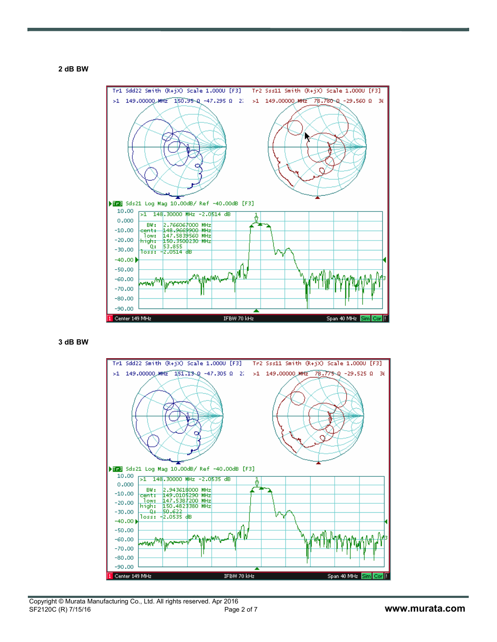**2 dB BW**



**3 dB BW**

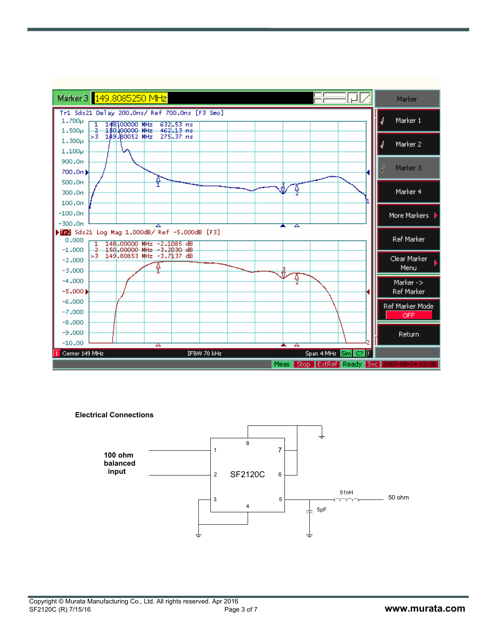

**Electrical Connections**

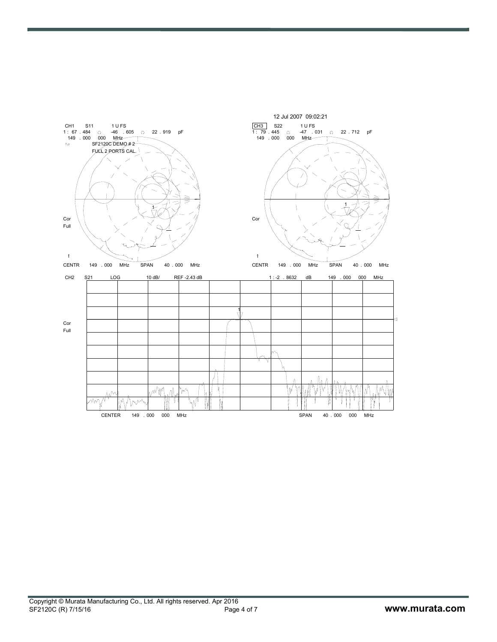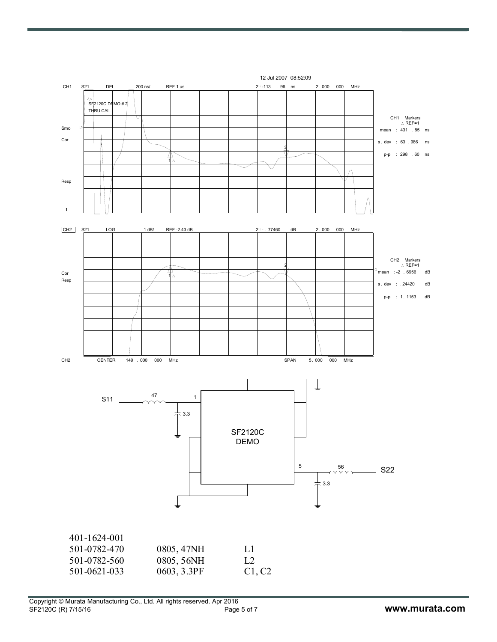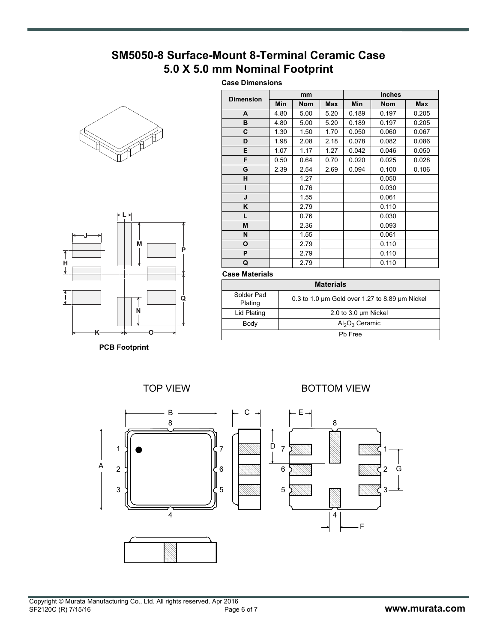# **SM5050-8 Surface-Mount 8-Terminal Ceramic Case 5.0 X 5.0 mm Nominal Footprint**

# **Case Dimensions**





**PCB Footprint**

| <b>Dimension</b> |      | mm         |            |       | <b>Inches</b> |            |
|------------------|------|------------|------------|-------|---------------|------------|
|                  | Min  | <b>Nom</b> | <b>Max</b> | Min   | <b>Nom</b>    | <b>Max</b> |
| A                | 4.80 | 5.00       | 5.20       | 0.189 | 0.197         | 0.205      |
| в                | 4.80 | 5.00       | 5.20       | 0.189 | 0.197         | 0.205      |
| C                | 1.30 | 1.50       | 1.70       | 0.050 | 0.060         | 0.067      |
| D                | 1.98 | 2.08       | 2.18       | 0.078 | 0.082         | 0.086      |
| E                | 1.07 | 1.17       | 1.27       | 0.042 | 0.046         | 0.050      |
| F                | 0.50 | 0.64       | 0.70       | 0.020 | 0.025         | 0.028      |
| G                | 2.39 | 2.54       | 2.69       | 0.094 | 0.100         | 0.106      |
| н                |      | 1.27       |            |       | 0.050         |            |
| ı                |      | 0.76       |            |       | 0.030         |            |
| J                |      | 1.55       |            |       | 0.061         |            |
| K                |      | 2.79       |            |       | 0.110         |            |
| L.               |      | 0.76       |            |       | 0.030         |            |
| M                |      | 2.36       |            |       | 0.093         |            |
| N                |      | 1.55       |            |       | 0.061         |            |
| O                |      | 2.79       |            |       | 0.110         |            |
| P                |      | 2.79       |            |       | 0.110         |            |
| Q                |      | 2.79       |            |       | 0.110         |            |

### **Case Materials**

| <b>Materials</b>      |                                                |  |  |
|-----------------------|------------------------------------------------|--|--|
| Solder Pad<br>Plating | 0.3 to 1.0 um Gold over 1.27 to 8.89 um Nickel |  |  |
| Lid Plating           | 2.0 to 3.0 $\mu$ m Nickel                      |  |  |
| Body                  | $Al_2O_3$ Ceramic                              |  |  |
| Ph Free               |                                                |  |  |

TOP VIEW BOTTOM VIEW

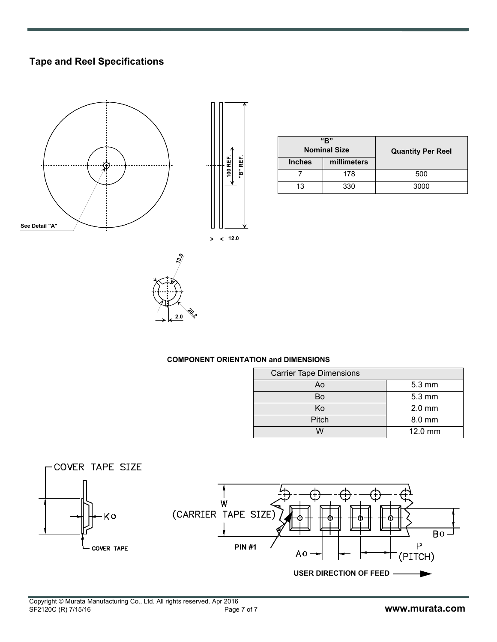# **Tape and Reel Specifications**



| "R"<br><b>Nominal Size</b> |             | <b>Quantity Per Reel</b> |
|----------------------------|-------------|--------------------------|
| <b>Inches</b>              | millimeters |                          |
|                            | 178         | 500                      |
| 13                         | 330         | 3000                     |

# **COMPONENT ORIENTATION and DIMENSIONS**

**20.2 2.0**

| <b>Carrier Tape Dimensions</b> |                  |  |  |
|--------------------------------|------------------|--|--|
| Ao                             | $5.3 \text{ mm}$ |  |  |
| Bo                             | $5.3 \text{ mm}$ |  |  |
| Κo                             | $2.0$ mm         |  |  |
| Pitch                          | 8.0 mm           |  |  |
| M                              | 12.0 mm          |  |  |